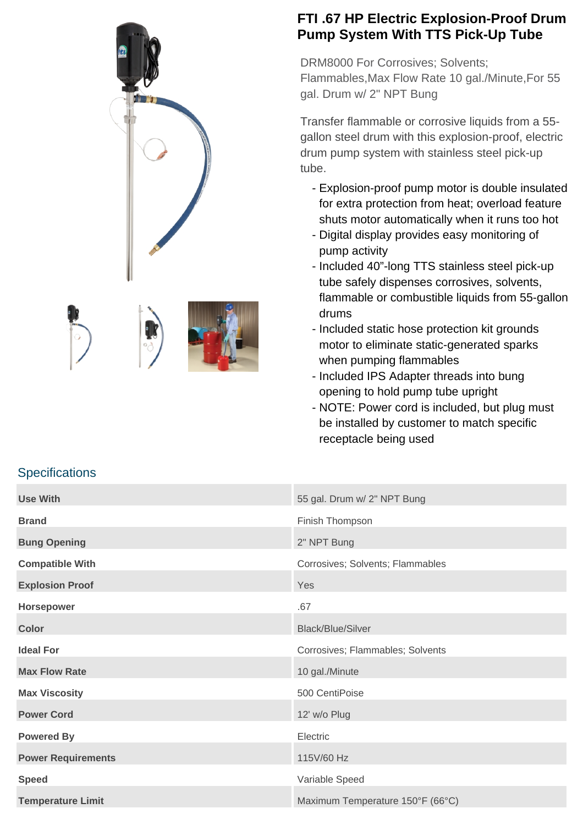





## **FTI .67 HP Electric Explosion-Proof Drum Pump System With TTS Pick-Up Tube**

DRM8000 For Corrosives; Solvents; Flammables,Max Flow Rate 10 gal./Minute,For 55 gal. Drum w/ 2" NPT Bung

Transfer flammable or corrosive liquids from a 55 gallon steel drum with this explosion-proof, electric drum pump system with stainless steel pick-up tube.

- Explosion-proof pump motor is double insulated for extra protection from heat; overload feature shuts motor automatically when it runs too hot
- Digital display provides easy monitoring of pump activity
- Included 40"-long TTS stainless steel pick-up tube safely dispenses corrosives, solvents, flammable or combustible liquids from 55-gallon drums
- Included static hose protection kit grounds motor to eliminate static-generated sparks when pumping flammables
- Included IPS Adapter threads into bung opening to hold pump tube upright
- NOTE: Power cord is included, but plug must be installed by customer to match specific receptacle being used

| <b>Use With</b>           | 55 gal. Drum w/ 2" NPT Bung      |
|---------------------------|----------------------------------|
| <b>Brand</b>              | Finish Thompson                  |
| <b>Bung Opening</b>       | 2" NPT Bung                      |
| <b>Compatible With</b>    | Corrosives; Solvents; Flammables |
| <b>Explosion Proof</b>    | Yes                              |
| Horsepower                | .67                              |
| <b>Color</b>              | <b>Black/Blue/Silver</b>         |
| <b>Ideal For</b>          | Corrosives; Flammables; Solvents |
| <b>Max Flow Rate</b>      | 10 gal./Minute                   |
| <b>Max Viscosity</b>      | 500 CentiPoise                   |
| <b>Power Cord</b>         | 12' w/o Plug                     |
| <b>Powered By</b>         | Electric                         |
| <b>Power Requirements</b> | 115V/60 Hz                       |
| <b>Speed</b>              | Variable Speed                   |
| <b>Temperature Limit</b>  | Maximum Temperature 150°F (66°C) |

## **Specifications**